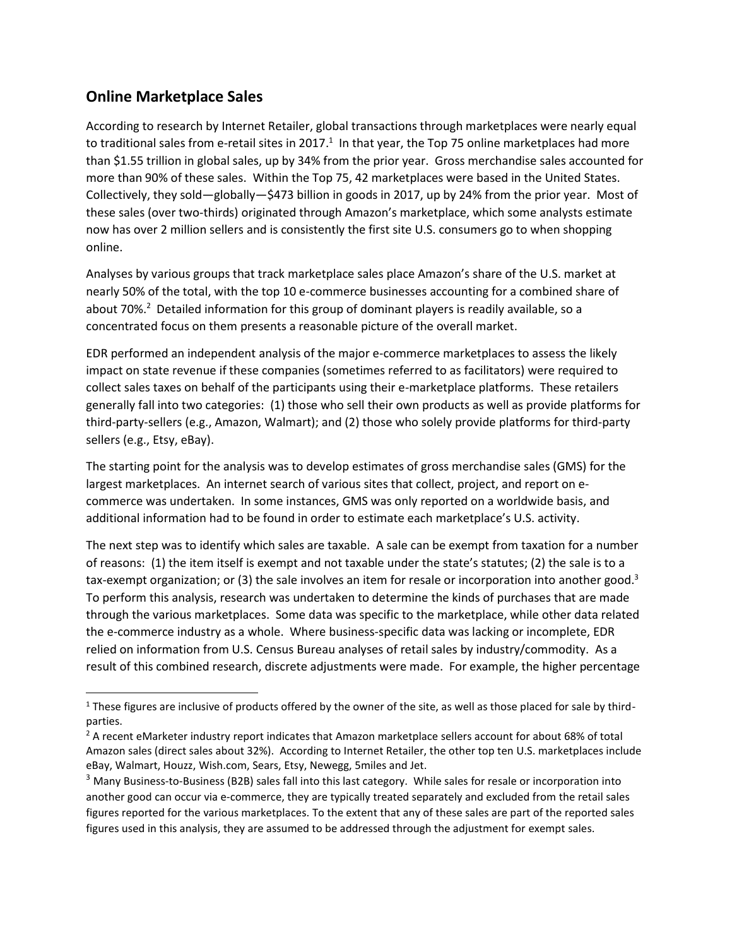## **Online Marketplace Sales**

 $\overline{\phantom{a}}$ 

According to research by Internet Retailer, global transactions through marketplaces were nearly equal to traditional sales from e-retail sites in 2017.<sup>1</sup> In that year, the Top 75 online marketplaces had more than \$1.55 trillion in global sales, up by 34% from the prior year. Gross merchandise sales accounted for more than 90% of these sales. Within the Top 75, 42 marketplaces were based in the United States. Collectively, they sold—globally—\$473 billion in goods in 2017, up by 24% from the prior year. Most of these sales (over two-thirds) originated through Amazon's marketplace, which some analysts estimate now has over 2 million sellers and is consistently the first site U.S. consumers go to when shopping online.

Analyses by various groups that track marketplace sales place Amazon's share of the U.S. market at nearly 50% of the total, with the top 10 e-commerce businesses accounting for a combined share of about 70%.<sup>2</sup> Detailed information for this group of dominant players is readily available, so a concentrated focus on them presents a reasonable picture of the overall market.

EDR performed an independent analysis of the major e-commerce marketplaces to assess the likely impact on state revenue if these companies (sometimes referred to as facilitators) were required to collect sales taxes on behalf of the participants using their e-marketplace platforms. These retailers generally fall into two categories: (1) those who sell their own products as well as provide platforms for third-party-sellers (e.g., Amazon, Walmart); and (2) those who solely provide platforms for third-party sellers (e.g., Etsy, eBay).

The starting point for the analysis was to develop estimates of gross merchandise sales (GMS) for the largest marketplaces. An internet search of various sites that collect, project, and report on ecommerce was undertaken. In some instances, GMS was only reported on a worldwide basis, and additional information had to be found in order to estimate each marketplace's U.S. activity.

The next step was to identify which sales are taxable. A sale can be exempt from taxation for a number of reasons: (1) the item itself is exempt and not taxable under the state's statutes; (2) the sale is to a tax-exempt organization; or (3) the sale involves an item for resale or incorporation into another good.<sup>3</sup> To perform this analysis, research was undertaken to determine the kinds of purchases that are made through the various marketplaces. Some data was specific to the marketplace, while other data related the e-commerce industry as a whole. Where business-specific data was lacking or incomplete, EDR relied on information from U.S. Census Bureau analyses of retail sales by industry/commodity. As a result of this combined research, discrete adjustments were made. For example, the higher percentage

<sup>&</sup>lt;sup>1</sup> These figures are inclusive of products offered by the owner of the site, as well as those placed for sale by thirdparties.

<sup>&</sup>lt;sup>2</sup> A recent eMarketer industry report indicates that Amazon marketplace sellers account for about 68% of total Amazon sales (direct sales about 32%). According to Internet Retailer, the other top ten U.S. marketplaces include eBay, Walmart, Houzz, Wish.com, Sears, Etsy, Newegg, 5miles and Jet.

<sup>&</sup>lt;sup>3</sup> Many Business-to-Business (B2B) sales fall into this last category. While sales for resale or incorporation into another good can occur via e-commerce, they are typically treated separately and excluded from the retail sales figures reported for the various marketplaces. To the extent that any of these sales are part of the reported sales figures used in this analysis, they are assumed to be addressed through the adjustment for exempt sales.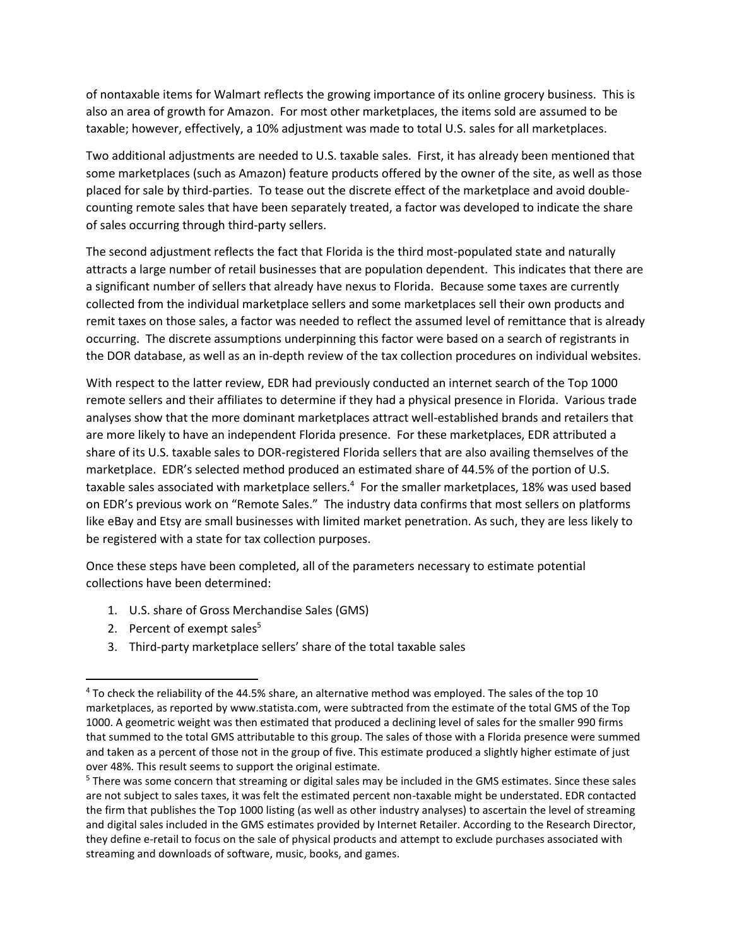of nontaxable items for Walmart reflects the growing importance of its online grocery business. This is also an area of growth for Amazon. For most other marketplaces, the items sold are assumed to be taxable; however, effectively, a 10% adjustment was made to total U.S. sales for all marketplaces.

Two additional adjustments are needed to U.S. taxable sales. First, it has already been mentioned that some marketplaces (such as Amazon) feature products offered by the owner of the site, as well as those placed for sale by third-parties. To tease out the discrete effect of the marketplace and avoid doublecounting remote sales that have been separately treated, a factor was developed to indicate the share of sales occurring through third-party sellers.

The second adjustment reflects the fact that Florida is the third most-populated state and naturally attracts a large number of retail businesses that are population dependent. This indicates that there are a significant number of sellers that already have nexus to Florida. Because some taxes are currently collected from the individual marketplace sellers and some marketplaces sell their own products and remit taxes on those sales, a factor was needed to reflect the assumed level of remittance that is already occurring. The discrete assumptions underpinning this factor were based on a search of registrants in the DOR database, as well as an in-depth review of the tax collection procedures on individual websites.

With respect to the latter review, EDR had previously conducted an internet search of the Top 1000 remote sellers and their affiliates to determine if they had a physical presence in Florida. Various trade analyses show that the more dominant marketplaces attract well-established brands and retailers that are more likely to have an independent Florida presence. For these marketplaces, EDR attributed a share of its U.S. taxable sales to DOR-registered Florida sellers that are also availing themselves of the marketplace. EDR's selected method produced an estimated share of 44.5% of the portion of U.S. taxable sales associated with marketplace sellers.<sup>4</sup> For the smaller marketplaces, 18% was used based on EDR's previous work on "Remote Sales." The industry data confirms that most sellers on platforms like eBay and Etsy are small businesses with limited market penetration. As such, they are less likely to be registered with a state for tax collection purposes.

Once these steps have been completed, all of the parameters necessary to estimate potential collections have been determined:

- 1. U.S. share of Gross Merchandise Sales (GMS)
- 2. Percent of exempt sales $5$

 $\overline{\phantom{a}}$ 

3. Third-party marketplace sellers' share of the total taxable sales

<sup>4</sup> To check the reliability of the 44.5% share, an alternative method was employed. The sales of the top 10 marketplaces, as reported by www.statista.com, were subtracted from the estimate of the total GMS of the Top 1000. A geometric weight was then estimated that produced a declining level of sales for the smaller 990 firms that summed to the total GMS attributable to this group. The sales of those with a Florida presence were summed and taken as a percent of those not in the group of five. This estimate produced a slightly higher estimate of just over 48%. This result seems to support the original estimate.

<sup>&</sup>lt;sup>5</sup> There was some concern that streaming or digital sales may be included in the GMS estimates. Since these sales are not subject to sales taxes, it was felt the estimated percent non-taxable might be understated. EDR contacted the firm that publishes the Top 1000 listing (as well as other industry analyses) to ascertain the level of streaming and digital sales included in the GMS estimates provided by Internet Retailer. According to the Research Director, they define e-retail to focus on the sale of physical products and attempt to exclude purchases associated with streaming and downloads of software, music, books, and games.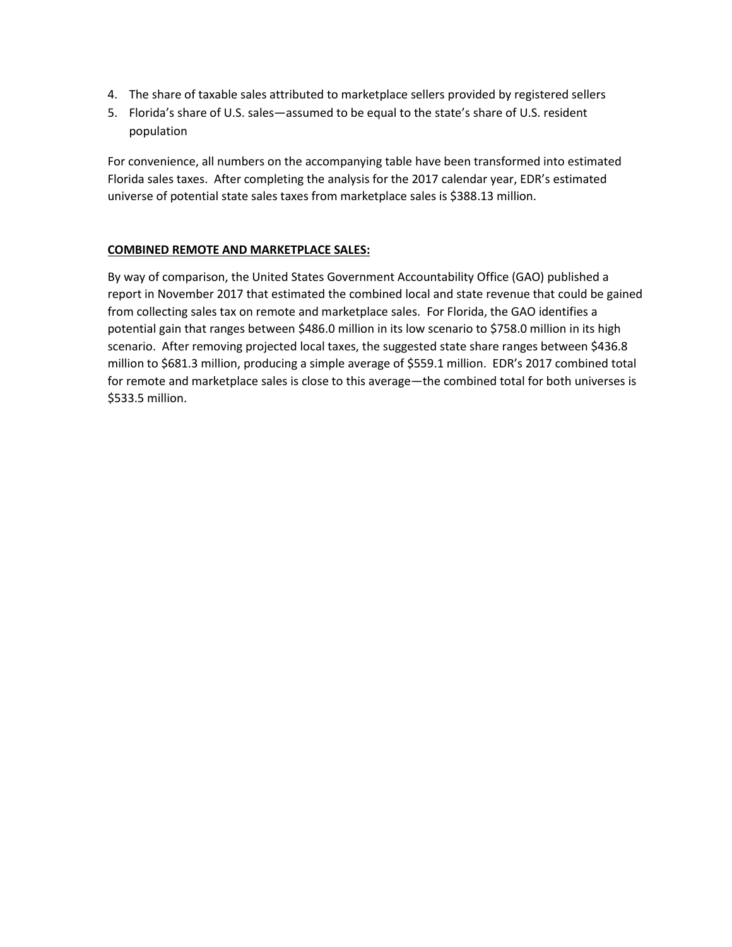- 4. The share of taxable sales attributed to marketplace sellers provided by registered sellers
- 5. Florida's share of U.S. sales—assumed to be equal to the state's share of U.S. resident population

For convenience, all numbers on the accompanying table have been transformed into estimated Florida sales taxes. After completing the analysis for the 2017 calendar year, EDR's estimated universe of potential state sales taxes from marketplace sales is \$388.13 million.

#### **COMBINED REMOTE AND MARKETPLACE SALES:**

By way of comparison, the United States Government Accountability Office (GAO) published a report in November 2017 that estimated the combined local and state revenue that could be gained from collecting sales tax on remote and marketplace sales. For Florida, the GAO identifies a potential gain that ranges between \$486.0 million in its low scenario to \$758.0 million in its high scenario. After removing projected local taxes, the suggested state share ranges between \$436.8 million to \$681.3 million, producing a simple average of \$559.1 million. EDR's 2017 combined total for remote and marketplace sales is close to this average—the combined total for both universes is \$533.5 million.